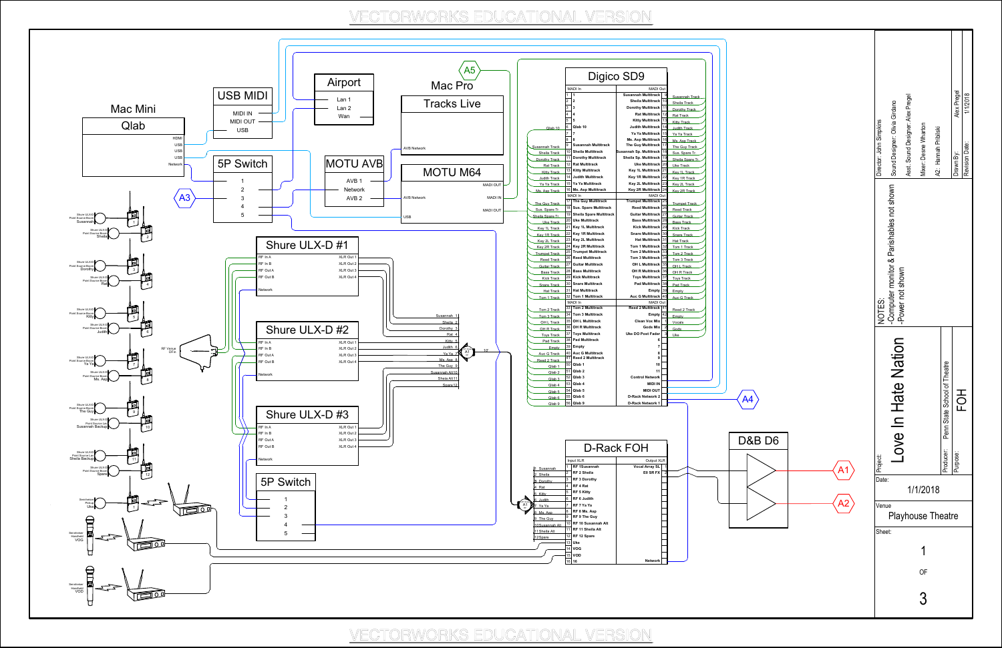

|                           | A <sub>2</sub>                       |                   | A <sub>1</sub>                                                       |                                                                                              |                                                                                      |
|---------------------------|--------------------------------------|-------------------|----------------------------------------------------------------------|----------------------------------------------------------------------------------------------|--------------------------------------------------------------------------------------|
| 1<br>OF<br>$\mathfrak{Z}$ | Venue<br>Playhouse Theatre<br>Sheet: | Date:<br>1/1/2018 | NOTES:<br>ove In Hate Nation<br>Project:                             | -Computer monitor & Parishables not shown sound Designer: Olivia Girdano<br>-Power not shown | Asst. Sound Designer: Alex Pregel<br>Director: John Simpkins<br>Mixer: Desne Wharton |
|                           |                                      |                   | Penn State School of Theatre<br>곶<br>C<br>H<br>Producer:<br>Purpose: |                                                                                              | Alex Pregel<br>1/1/2018<br>A2: Hannah Pribilski<br>Revision Date:<br>Drawn By:       |

## VECTORWORKS EDUCATIONAL VERSION

VECTORWORKS EDUCATIONAL VERSION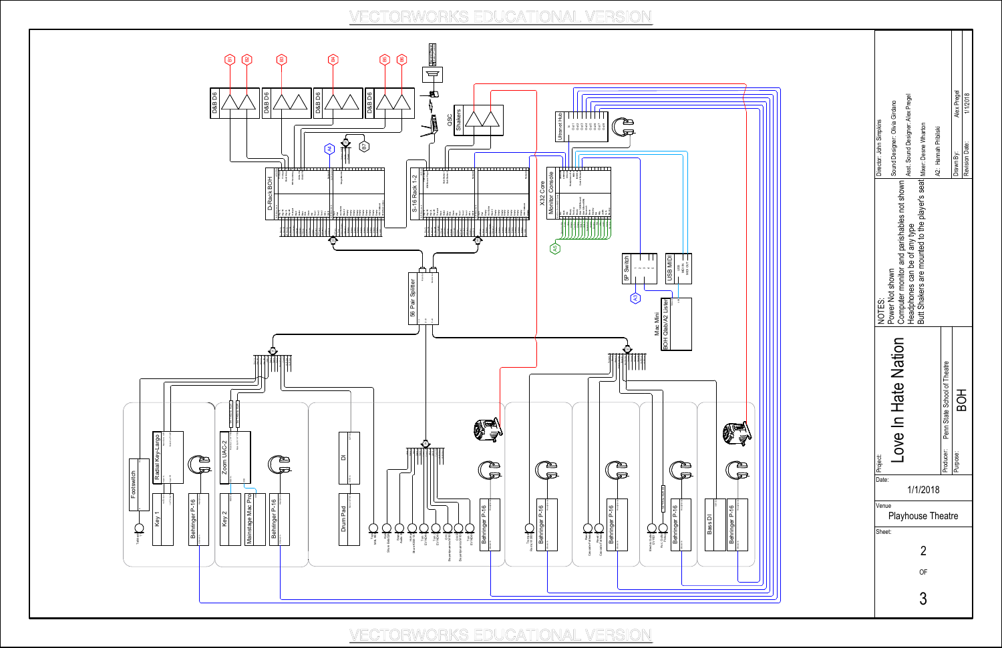

VECTORWORKS EDUCATIONAL VERSION